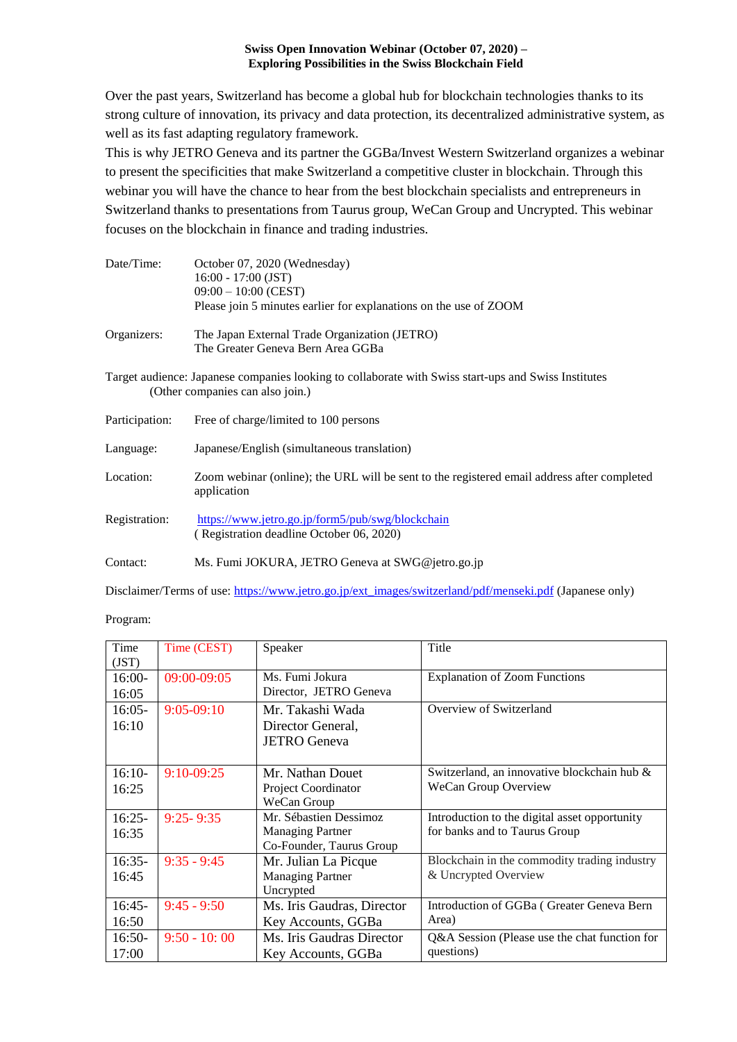#### **Swiss Open Innovation Webinar (October 07, 2020) – Exploring Possibilities in the Swiss Blockchain Field**

Over the past years, Switzerland has become a global hub for blockchain technologies thanks to its strong culture of innovation, its privacy and data protection, its decentralized administrative system, as well as its fast adapting regulatory framework.

This is why JETRO Geneva and its partner the GGBa/Invest Western Switzerland organizes a webinar to present the specificities that make Switzerland a competitive cluster in blockchain. Through this webinar you will have the chance to hear from the best blockchain specialists and entrepreneurs in Switzerland thanks to presentations from Taurus group, WeCan Group and Uncrypted. This webinar focuses on the blockchain in finance and trading industries.

| Date/Time:                                                                                                                               | October 07, 2020 (Wednesday)<br>$16:00 - 17:00$ (JST)<br>$09:00 - 10:00$ (CEST)<br>Please join 5 minutes earlier for explanations on the use of ZOOM |  |  |
|------------------------------------------------------------------------------------------------------------------------------------------|------------------------------------------------------------------------------------------------------------------------------------------------------|--|--|
| Organizers:                                                                                                                              | The Japan External Trade Organization (JETRO)<br>The Greater Geneva Bern Area GGBa                                                                   |  |  |
| Target audience: Japanese companies looking to collaborate with Swiss start-ups and Swiss Institutes<br>(Other companies can also join.) |                                                                                                                                                      |  |  |
| Participation:                                                                                                                           | Free of charge/limited to 100 persons                                                                                                                |  |  |
| Language:                                                                                                                                | Japanese/English (simultaneous translation)                                                                                                          |  |  |
| Location:                                                                                                                                | Zoom webinar (online); the URL will be sent to the registered email address after completed<br>application                                           |  |  |
| Registration:                                                                                                                            | https://www.jetro.go.jp/form5/pub/swg/blockchain<br>(Registration deadline October 06, 2020)                                                         |  |  |
| Contact:                                                                                                                                 | Ms. Fumi JOKURA, JETRO Geneva at SWG@jetro.go.jp                                                                                                     |  |  |

Disclaimer/Terms of use: [https://www.jetro.go.jp/ext\\_images/switzerland/pdf/menseki.pdf](https://www.jetro.go.jp/ext_images/switzerland/pdf/menseki.pdf) (Japanese only)

| Time     | Time (CEST)    | Speaker                    | Title                                         |
|----------|----------------|----------------------------|-----------------------------------------------|
| (JST)    |                |                            |                                               |
| $16:00-$ | 09:00-09:05    | Ms. Fumi Jokura            | <b>Explanation of Zoom Functions</b>          |
| 16:05    |                | Director, JETRO Geneva     |                                               |
| $16:05-$ | $9:05-09:10$   | Mr. Takashi Wada           | Overview of Switzerland                       |
| 16:10    |                | Director General,          |                                               |
|          |                | <b>JETRO</b> Geneva        |                                               |
|          |                |                            |                                               |
| $16:10-$ | $9:10-09:25$   | Mr. Nathan Douet           | Switzerland, an innovative blockchain hub &   |
| 16:25    |                | Project Coordinator        | WeCan Group Overview                          |
|          |                | WeCan Group                |                                               |
| $16:25-$ | $9:25 - 9:35$  | Mr. Sébastien Dessimoz     | Introduction to the digital asset opportunity |
| 16:35    |                | <b>Managing Partner</b>    | for banks and to Taurus Group                 |
|          |                | Co-Founder, Taurus Group   |                                               |
| $16:35-$ | $9:35 - 9:45$  | Mr. Julian La Picque       | Blockchain in the commodity trading industry  |
| 16:45    |                | <b>Managing Partner</b>    | & Uncrypted Overview                          |
|          |                | Uncrypted                  |                                               |
| $16:45-$ | $9:45 - 9:50$  | Ms. Iris Gaudras, Director | Introduction of GGBa (Greater Geneva Bern     |
| 16:50    |                | Key Accounts, GGBa         | Area)                                         |
| $16:50-$ | $9:50 - 10:00$ | Ms. Iris Gaudras Director  | Q&A Session (Please use the chat function for |
| 17:00    |                | Key Accounts, GGBa         | questions)                                    |

Program: